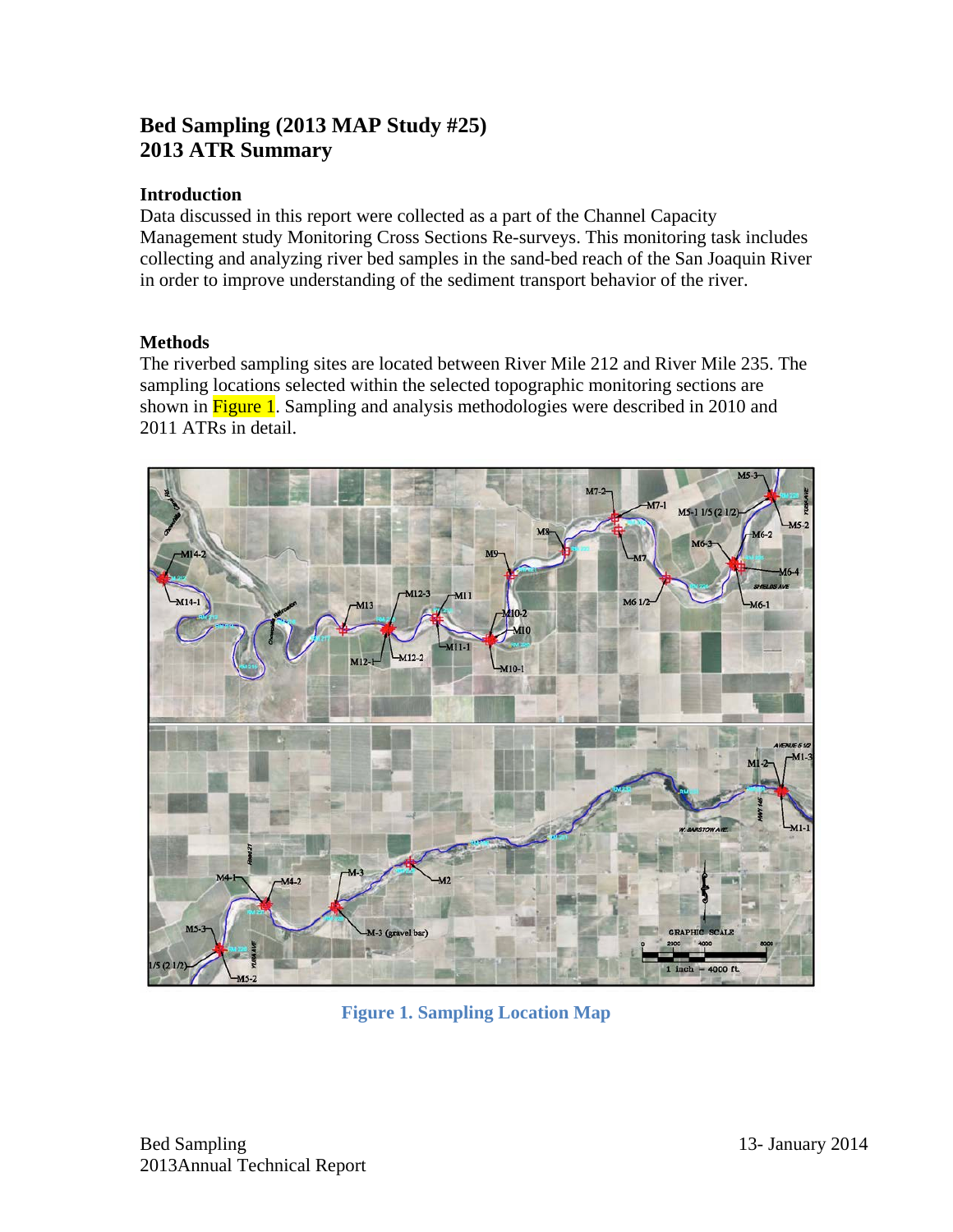## **Bed Sampling (2013 MAP Study #25) 2013 ATR Summary**

## **Introduction**

Data discussed in this report were collected as a part of the Channel Capacity Management study Monitoring Cross Sections Re-surveys. This monitoring task includes collecting and analyzing river bed samples in the sand-bed reach of the San Joaquin River in order to improve understanding of the sediment transport behavior of the river.

## **Methods**

The riverbed sampling sites are located between River Mile 212 and River Mile 235. The sampling locations selected within the selected topographic monitoring sections are shown in **Figure 1**. Sampling and analysis methodologies were described in 2010 and 2011 ATRs in detail.



**Figure 1. Sampling Location Map**